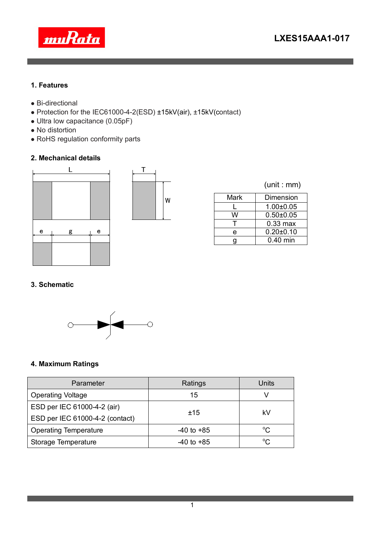

#### **1. Features**

- Bi-directional
- Protection for the IEC61000-4-2(ESD) ±15kV(air), ±15kV(contact)
- Ultra low capacitance (0.05pF)
- No distortion
- RoHS regulation conformity parts

## **2. Mechanical details**





|  |  | (unit : mm) |
|--|--|-------------|
|  |  |             |

| Mark | <b>Dimension</b> |  |  |
|------|------------------|--|--|
|      | $1.00 \pm 0.05$  |  |  |
| w    | $0.50 + 0.05$    |  |  |
|      | $0.33$ max       |  |  |
| e    | $0.20 \pm 0.10$  |  |  |
| а    | $0.40$ min       |  |  |

## **3. Schematic**



## **4. Maximum Ratings**

| Parameter                       | Ratings        | Units        |  |
|---------------------------------|----------------|--------------|--|
| <b>Operating Voltage</b>        | 15             |              |  |
| ESD per IEC 61000-4-2 (air)     |                | kV           |  |
| ESD per IEC 61000-4-2 (contact) | ±15            |              |  |
| <b>Operating Temperature</b>    | $-40$ to $+85$ | $^{\circ}C$  |  |
| Storage Temperature             | $-40$ to $+85$ | $^{\circ}$ C |  |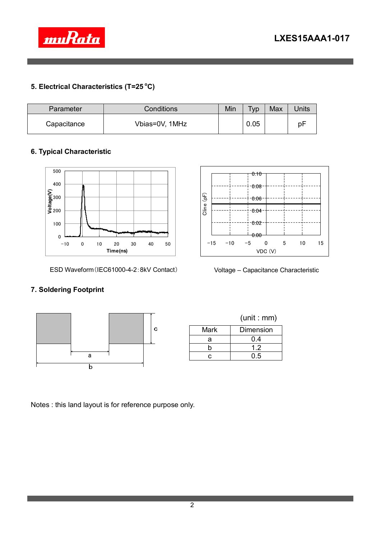



# **5. Electrical Characteristics (T=25 <sup>o</sup>C)**

| Parameter   | Conditions     | Min | Typ  | Max | <b>Units</b> |
|-------------|----------------|-----|------|-----|--------------|
| Capacitance | Vbias=0V, 1MHz |     | 0.05 |     | рF           |

## **6. Typical Characteristic**



ESD Waveform(IEC61000-4-2:8kV Contact)



Voltage – Capacitance Characteristic

#### **7. Soldering Footprint**



Notes : this land layout is for reference purpose only.